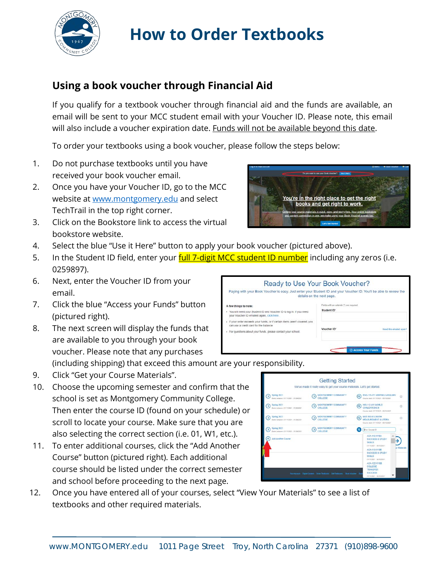

# **How to Order Textbooks**

### **Using a book voucher through Financial Aid**

If you qualify for a textbook voucher through financial aid and the funds are available, an email will be sent to your MCC student email with your Voucher ID. Please note, this email will also include a voucher expiration date. Funds will not be available beyond this date.

To order your textbooks using a book voucher, please follow the steps below:

- 1. Do not purchase textbooks until you have received your book voucher email.
- 2. Once you have your Voucher ID, go to the MCC website at [www.montgomery.edu](http://www.montgomery.edu/) and select TechTrail in the top right corner.
- 3. Click on the Bookstore link to access the virtual bookstore website.



- 4. Select the blue "Use it Here" button to apply your book voucher (pictured above).
- 5. In the Student ID field, enter your **full 7-digit MCC student ID number** including any zeros (i.e. 0259897).
- 6. Next, enter the Voucher ID from your email.
- 7. Click the blue "Access your Funds" button (pictured right).
- 8. The next screen will display the funds that are available to you through your book voucher. Please note that any purchases

Ready to Use Your Book Voucher? Paying with your Book Voucher is easy, Just enter your Student ID and your Voucher ID. You'll be able to review the details on the next page. A few things to note: You will need your Student ID and Voucher ID to log in. If you need<br>your Voucher ID emailed again, click here. Student ID\* If your order exceeds your funds, or if certain items aren't covered, you<br>can use a credit card for the balance. Voucher ID For questions about your funds, please contact your school

(including shipping) that exceed this amount are your responsibility.

- 9. Click "Get your Course Materials".
- 10. Choose the upcoming semester and confirm that the school is set as Montgomery Community College. Then enter the course ID (found on your schedule) or scroll to locate your course. Make sure that you are also selecting the correct section (i.e. 01, W1, etc.).
- 11. To enter additional courses, click the "Add Another Course" button (pictured right). Each additional course should be listed under the correct semester and school before proceeding to the next page.
- 12. Once you have entered all of your courses, select "View Your Materials" to see a list of textbooks and other required materials.